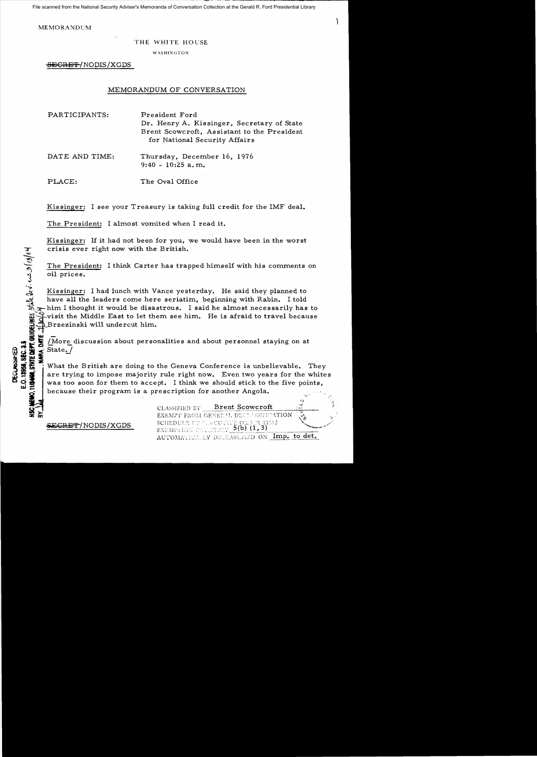File scanned from the National Security Adviser's Memoranda of Conversation Collection at the Gerald R. Ford Presidential Library

MEMORANDUM

a/e

0.12958, SEC.

## THE WHITE HOUSE

WASHIXGTON

SEGRET/NODIS/XGDS

## MEMORANDUM OF CONVERSATION

PARTICIPANTS: President Ford Dr. Henry A. Kissinger. Secretary of State Brent Scowcroft. Assistant to the President for National Security Affairs

DATE AND TIME: Thursday. December 16. 1976 9:40 - 10:25 a. m.

PLACE: The Oval Office

Kissinger: I see your Treasury is taking full credit for the IMF deal.

The President: I almost vomited when I read it.

Kissinger: If it had not been for you, we would have been in the worst crisis ever right now with the British.

The President: I think Carter has trapped himself with his comments on oil prices.

Kissinger: I had lunch with Vance yesterday. He said they planned to have all the leaders come here seriatim, beginning with Rabin. I told  $\rightarrow$ him I thought it would be disastrous. I said he almost necessarily has to ~~visit the Middle East to let them see him. He is afraid to travel because i~Brzezinski will undercut him.

i<br>8 날 -/More discussion about personalities and about personnel staying on at

 $\begin{array}{r} \n 24.44 \rightarrow 0.04 \rightarrow 0.04 \rightarrow 0.04 \rightarrow 0.04 \rightarrow 0.04 \rightarrow 0.04 \rightarrow 0.04 \rightarrow 0.04 \rightarrow 0.04 \rightarrow 0.04 \rightarrow 0.04 \rightarrow 0.04 \rightarrow 0.04 \rightarrow 0.04 \rightarrow 0.04 \rightarrow 0.04 \rightarrow 0.04 \rightarrow 0.04 \rightarrow 0.04 \rightarrow 0.04 \rightarrow 0.04 \rightarrow 0.04 \rightarrow 0.04 \rightarrow 0.04 \rightarrow 0.04 \rightarrow 0.04 \rightarrow 0.04 \rightarrow 0.04 \rightarrow 0.04 \rightarrow$ What the British are doing to the Geneva Conference is unbelievable. They are trying to impose majority rule right now. Even two years for the whites was too soon for them to accept. I think we should stick to the five points, because their program is a prescription for another Angola.

~CB E'f'""/NODIS/XGDS

**Brent Scowcroft** CLASSIFIED DY EXEMPT FROM GENERAL DECLASSIFICATION SCHEDULE CE VIRCUIVE ORDER 11552 EXEMPHION CALLOONY AUTOMATICALLY DECLASS. FIED ON Imp. to det.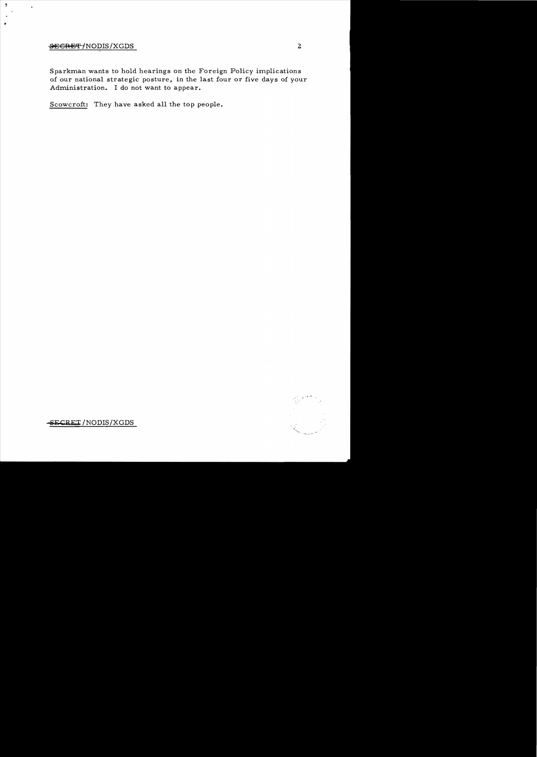## ~GRE'i' fNODIS/XGDS 2

 $\overline{\phantom{a}}$ 

 $\hat{\mathbf{r}}$ 

Sparkman wants to hold hearings on the Foreign Policy implications of our national strategic posture, in the last four or five days of your Administration. I do not want to appear.

Scowcroft: They have asked all the top people.



-SECRET/NODIS/XGDS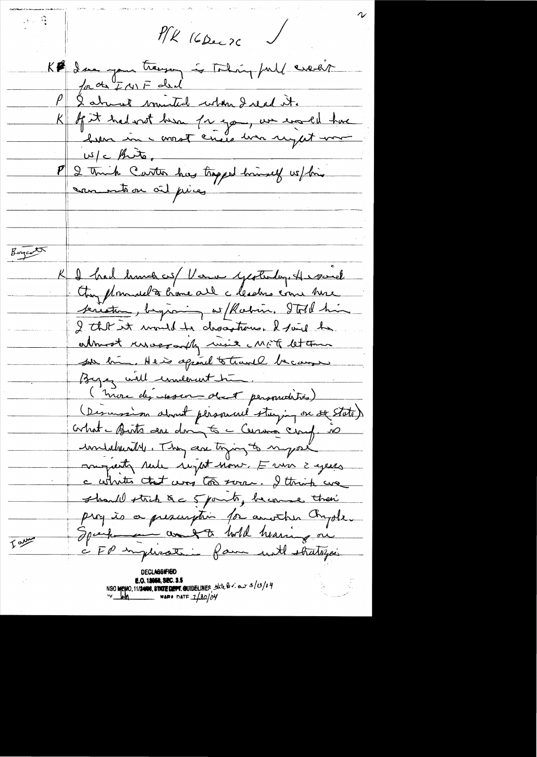$\beta > \frac{\alpha}{2}$  $P/K$  (6 Dec 20 ) Kl dan you tragen is Todaing full execut for the F ar F deal P & almost ministed when I read it.<br>K of it had with her for you, we would have  $w/c$  fints. 2 Truck Carter has trapped himself we / him san into on oil piez Binjarth I had hunch us Verne yesterday. He saved Any pleasant to become all a leaders come here <u>teristem, beyanning with china. Ital him</u> I that it mould be dropptoned the be almost unaccouply used MFF let the sur bin. He is agrand to travel because Byez will underwitcher. (more des resson des personatives) (Descension about pleasanced staying on se State) crhat - Birts au doing to - Cerma cinq is moyarty rule regist now, E un 2 ejees c whates that was too sorre. I think we should strick &c 5 points, become their prog is a prescription for another Chyole. Spark and to will hearing on Tarre CFP implication fam with stratifics **E.O. 12058, SEC. 3.5**<br>NSC MEMO, 11/2408, STATE DEPT. QUIDELINES State  $9x \cdot 3/3/19$ <br> $\frac{1}{3}$ <br> $\frac{1}{2}$ <br> $\frac{1}{2}$ <br> $\frac{1}{2}$ <br> $\frac{1}{2}$